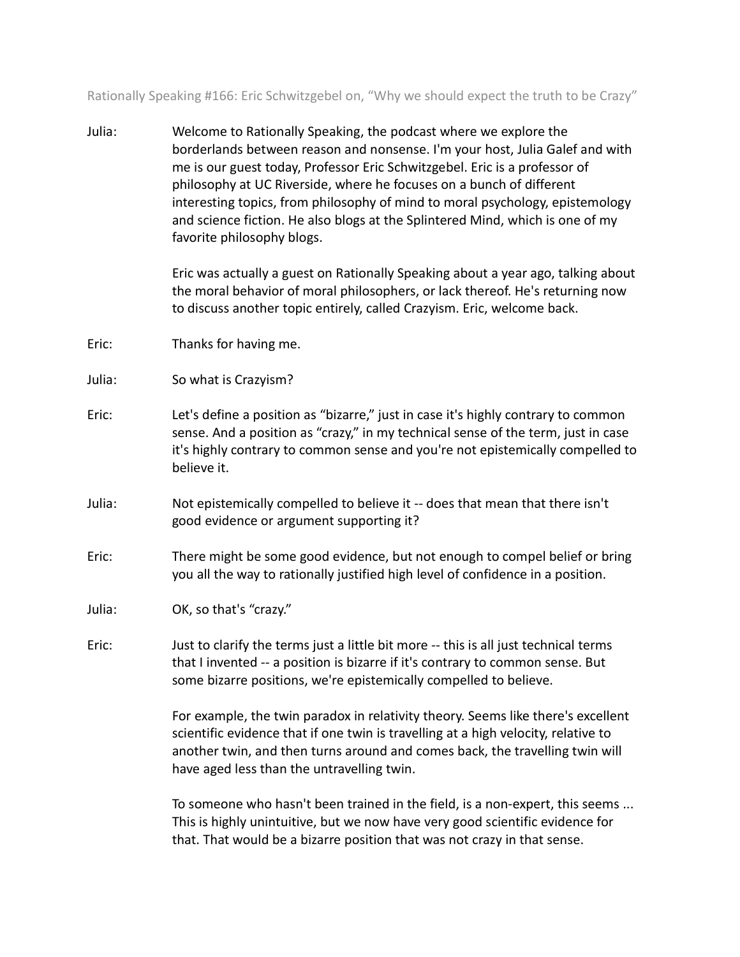Rationally Speaking #166: Eric Schwitzgebel on, "Why we should expect the truth to be Crazy"

Julia: Welcome to Rationally Speaking, the podcast where we explore the borderlands between reason and nonsense. I'm your host, Julia Galef and with me is our guest today, Professor Eric Schwitzgebel. Eric is a professor of philosophy at UC Riverside, where he focuses on a bunch of different interesting topics, from philosophy of mind to moral psychology, epistemology and science fiction. He also blogs at the Splintered Mind, which is one of my favorite philosophy blogs.

> Eric was actually a guest on Rationally Speaking about a year ago, talking about the moral behavior of moral philosophers, or lack thereof. He's returning now to discuss another topic entirely, called Crazyism. Eric, welcome back.

- Eric: Thanks for having me.
- Julia: So what is Crazyism?
- Eric: Let's define a position as "bizarre," just in case it's highly contrary to common sense. And a position as "crazy," in my technical sense of the term, just in case it's highly contrary to common sense and you're not epistemically compelled to believe it.
- Julia: Not epistemically compelled to believe it -- does that mean that there isn't good evidence or argument supporting it?
- Eric: There might be some good evidence, but not enough to compel belief or bring you all the way to rationally justified high level of confidence in a position.
- Julia: OK, so that's "crazy."
- Eric: Just to clarify the terms just a little bit more -- this is all just technical terms that I invented -- a position is bizarre if it's contrary to common sense. But some bizarre positions, we're epistemically compelled to believe.

For example, the twin paradox in relativity theory. Seems like there's excellent scientific evidence that if one twin is travelling at a high velocity, relative to another twin, and then turns around and comes back, the travelling twin will have aged less than the untravelling twin.

To someone who hasn't been trained in the field, is a non-expert, this seems ... This is highly unintuitive, but we now have very good scientific evidence for that. That would be a bizarre position that was not crazy in that sense.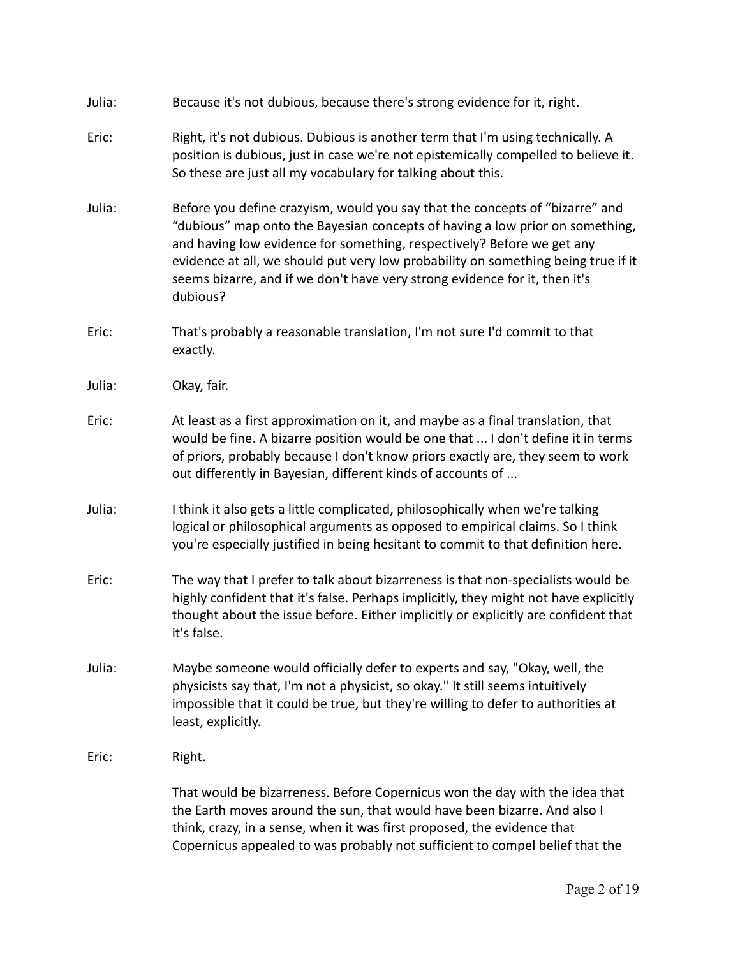| Julia: | Because it's not dubious, because there's strong evidence for it, right.                                                                                                                                                                                                                                                                                                                                              |
|--------|-----------------------------------------------------------------------------------------------------------------------------------------------------------------------------------------------------------------------------------------------------------------------------------------------------------------------------------------------------------------------------------------------------------------------|
| Eric:  | Right, it's not dubious. Dubious is another term that I'm using technically. A<br>position is dubious, just in case we're not epistemically compelled to believe it.<br>So these are just all my vocabulary for talking about this.                                                                                                                                                                                   |
| Julia: | Before you define crazyism, would you say that the concepts of "bizarre" and<br>"dubious" map onto the Bayesian concepts of having a low prior on something,<br>and having low evidence for something, respectively? Before we get any<br>evidence at all, we should put very low probability on something being true if it<br>seems bizarre, and if we don't have very strong evidence for it, then it's<br>dubious? |
| Eric:  | That's probably a reasonable translation, I'm not sure I'd commit to that<br>exactly.                                                                                                                                                                                                                                                                                                                                 |
| Julia: | Okay, fair.                                                                                                                                                                                                                                                                                                                                                                                                           |
| Eric:  | At least as a first approximation on it, and maybe as a final translation, that<br>would be fine. A bizarre position would be one that  I don't define it in terms<br>of priors, probably because I don't know priors exactly are, they seem to work<br>out differently in Bayesian, different kinds of accounts of                                                                                                   |
| Julia: | I think it also gets a little complicated, philosophically when we're talking<br>logical or philosophical arguments as opposed to empirical claims. So I think<br>you're especially justified in being hesitant to commit to that definition here.                                                                                                                                                                    |
| Eric:  | The way that I prefer to talk about bizarreness is that non-specialists would be<br>highly confident that it's false. Perhaps implicitly, they might not have explicitly<br>thought about the issue before. Either implicitly or explicitly are confident that<br>it's false.                                                                                                                                         |
| Julia: | Maybe someone would officially defer to experts and say, "Okay, well, the<br>physicists say that, I'm not a physicist, so okay." It still seems intuitively<br>impossible that it could be true, but they're willing to defer to authorities at<br>least, explicitly.                                                                                                                                                 |
| Eric:  | Right.                                                                                                                                                                                                                                                                                                                                                                                                                |
|        | That would be bizarreness. Before Copernicus won the day with the idea that<br>the Earth moves around the sun, that would have been bizarre. And also I<br>think, crazy, in a sense, when it was first proposed, the evidence that<br>Copernicus appealed to was probably not sufficient to compel belief that the                                                                                                    |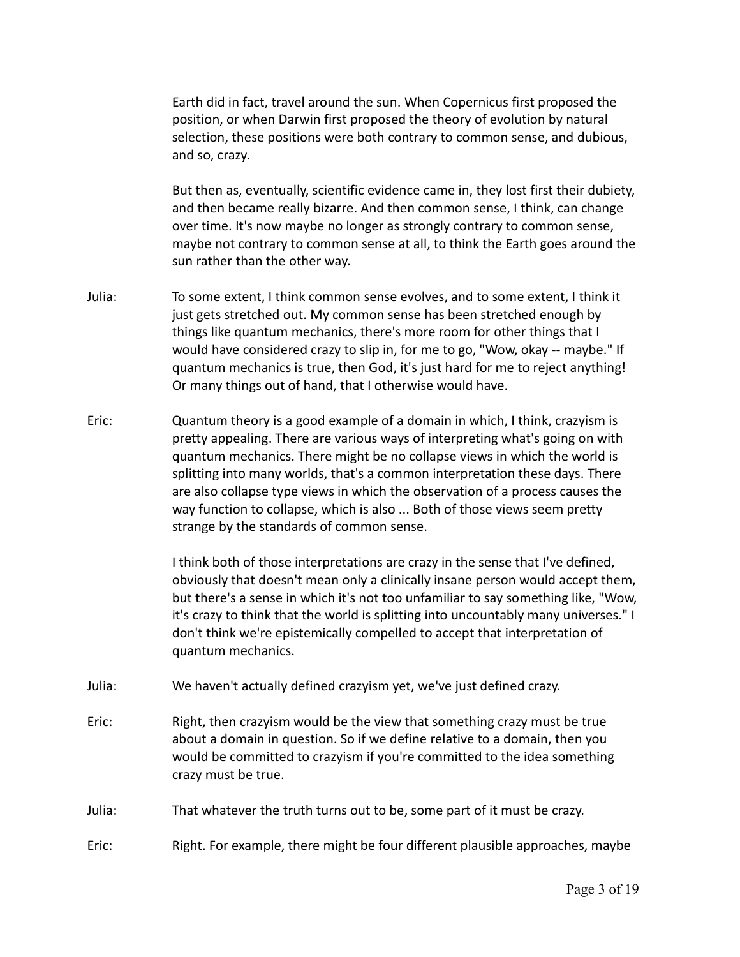Earth did in fact, travel around the sun. When Copernicus first proposed the position, or when Darwin first proposed the theory of evolution by natural selection, these positions were both contrary to common sense, and dubious, and so, crazy.

But then as, eventually, scientific evidence came in, they lost first their dubiety, and then became really bizarre. And then common sense, I think, can change over time. It's now maybe no longer as strongly contrary to common sense, maybe not contrary to common sense at all, to think the Earth goes around the sun rather than the other way.

- Julia: To some extent, I think common sense evolves, and to some extent, I think it just gets stretched out. My common sense has been stretched enough by things like quantum mechanics, there's more room for other things that I would have considered crazy to slip in, for me to go, "Wow, okay -- maybe." If quantum mechanics is true, then God, it's just hard for me to reject anything! Or many things out of hand, that I otherwise would have.
- Eric: Quantum theory is a good example of a domain in which, I think, crazyism is pretty appealing. There are various ways of interpreting what's going on with quantum mechanics. There might be no collapse views in which the world is splitting into many worlds, that's a common interpretation these days. There are also collapse type views in which the observation of a process causes the way function to collapse, which is also ... Both of those views seem pretty strange by the standards of common sense.

I think both of those interpretations are crazy in the sense that I've defined, obviously that doesn't mean only a clinically insane person would accept them, but there's a sense in which it's not too unfamiliar to say something like, "Wow, it's crazy to think that the world is splitting into uncountably many universes." I don't think we're epistemically compelled to accept that interpretation of quantum mechanics.

- Julia: We haven't actually defined crazyism yet, we've just defined crazy.
- Eric: Right, then crazyism would be the view that something crazy must be true about a domain in question. So if we define relative to a domain, then you would be committed to crazyism if you're committed to the idea something crazy must be true.
- Julia: That whatever the truth turns out to be, some part of it must be crazy.
- Eric: Right. For example, there might be four different plausible approaches, maybe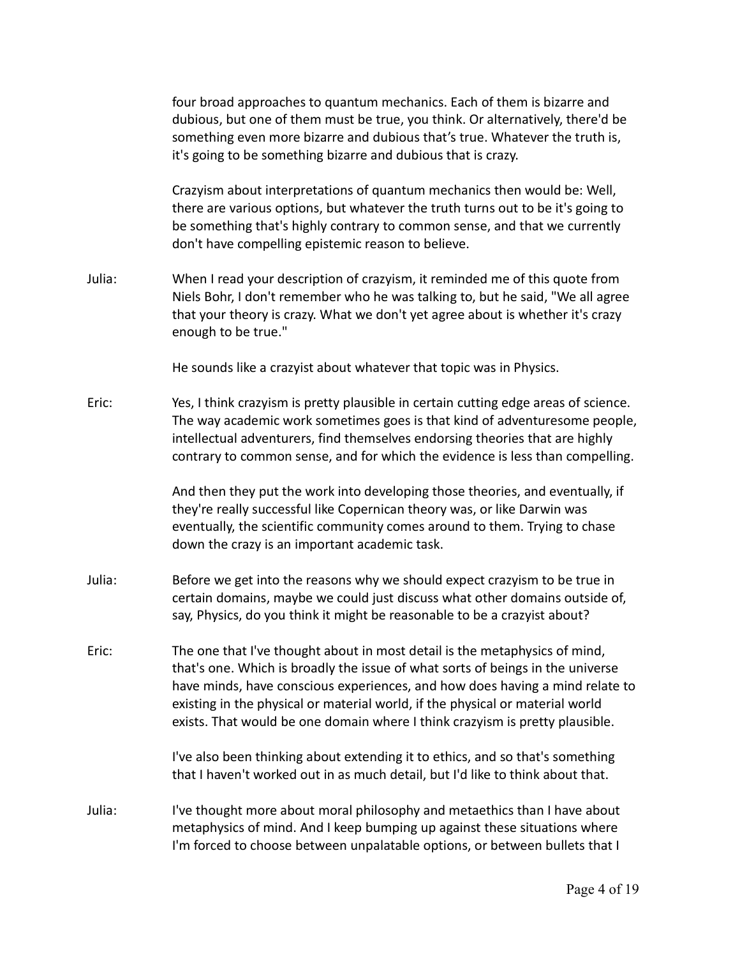four broad approaches to quantum mechanics. Each of them is bizarre and dubious, but one of them must be true, you think. Or alternatively, there'd be something even more bizarre and dubious that's true. Whatever the truth is, it's going to be something bizarre and dubious that is crazy.

Crazyism about interpretations of quantum mechanics then would be: Well, there are various options, but whatever the truth turns out to be it's going to be something that's highly contrary to common sense, and that we currently don't have compelling epistemic reason to believe.

Julia: When I read your description of crazyism, it reminded me of this quote from Niels Bohr, I don't remember who he was talking to, but he said, "We all agree that your theory is crazy. What we don't yet agree about is whether it's crazy enough to be true."

He sounds like a crazyist about whatever that topic was in Physics.

Eric: Yes, I think crazyism is pretty plausible in certain cutting edge areas of science. The way academic work sometimes goes is that kind of adventuresome people, intellectual adventurers, find themselves endorsing theories that are highly contrary to common sense, and for which the evidence is less than compelling.

> And then they put the work into developing those theories, and eventually, if they're really successful like Copernican theory was, or like Darwin was eventually, the scientific community comes around to them. Trying to chase down the crazy is an important academic task.

- Julia: Before we get into the reasons why we should expect crazyism to be true in certain domains, maybe we could just discuss what other domains outside of, say, Physics, do you think it might be reasonable to be a crazyist about?
- Eric: The one that I've thought about in most detail is the metaphysics of mind, that's one. Which is broadly the issue of what sorts of beings in the universe have minds, have conscious experiences, and how does having a mind relate to existing in the physical or material world, if the physical or material world exists. That would be one domain where I think crazyism is pretty plausible.

I've also been thinking about extending it to ethics, and so that's something that I haven't worked out in as much detail, but I'd like to think about that.

Julia: I've thought more about moral philosophy and metaethics than I have about metaphysics of mind. And I keep bumping up against these situations where I'm forced to choose between unpalatable options, or between bullets that I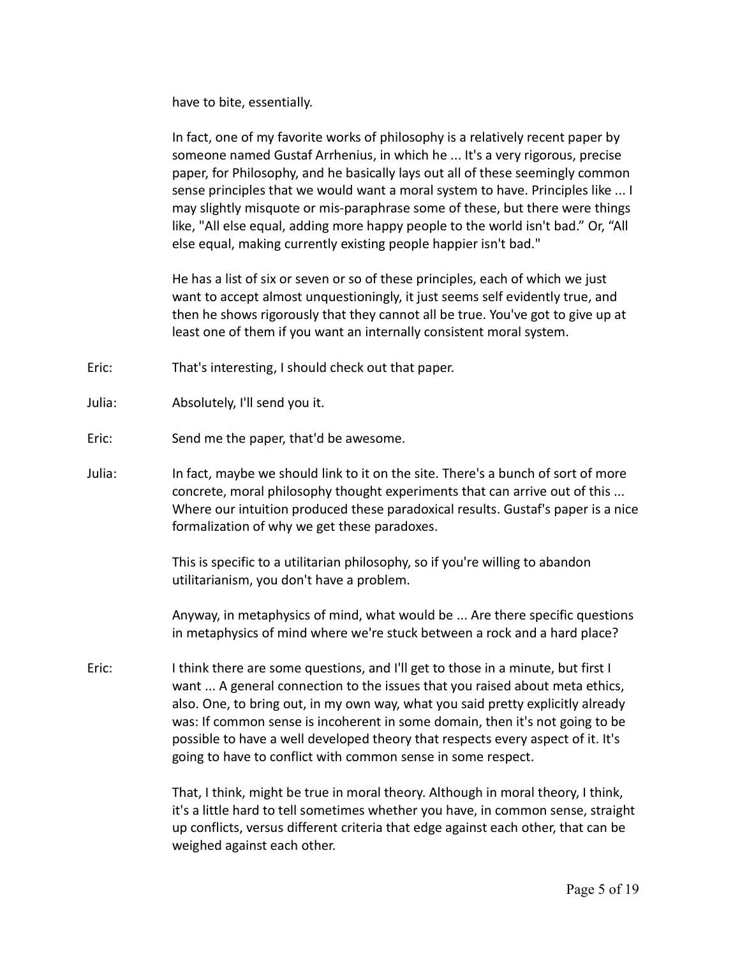have to bite, essentially.

In fact, one of my favorite works of philosophy is a relatively recent paper by someone named Gustaf Arrhenius, in which he ... It's a very rigorous, precise paper, for Philosophy, and he basically lays out all of these seemingly common sense principles that we would want a moral system to have. Principles like ... I may slightly misquote or mis-paraphrase some of these, but there were things like, "All else equal, adding more happy people to the world isn't bad." Or, "All else equal, making currently existing people happier isn't bad."

He has a list of six or seven or so of these principles, each of which we just want to accept almost unquestioningly, it just seems self evidently true, and then he shows rigorously that they cannot all be true. You've got to give up at least one of them if you want an internally consistent moral system.

- Eric: That's interesting, I should check out that paper.
- Julia: Absolutely, I'll send you it.
- Eric: Send me the paper, that'd be awesome.
- Julia: In fact, maybe we should link to it on the site. There's a bunch of sort of more concrete, moral philosophy thought experiments that can arrive out of this ... Where our intuition produced these paradoxical results. Gustaf's paper is a nice formalization of why we get these paradoxes.

This is specific to a utilitarian philosophy, so if you're willing to abandon utilitarianism, you don't have a problem.

Anyway, in metaphysics of mind, what would be ... Are there specific questions in metaphysics of mind where we're stuck between a rock and a hard place?

Eric: I think there are some questions, and I'll get to those in a minute, but first I want ... A general connection to the issues that you raised about meta ethics, also. One, to bring out, in my own way, what you said pretty explicitly already was: If common sense is incoherent in some domain, then it's not going to be possible to have a well developed theory that respects every aspect of it. It's going to have to conflict with common sense in some respect.

> That, I think, might be true in moral theory. Although in moral theory, I think, it's a little hard to tell sometimes whether you have, in common sense, straight up conflicts, versus different criteria that edge against each other, that can be weighed against each other.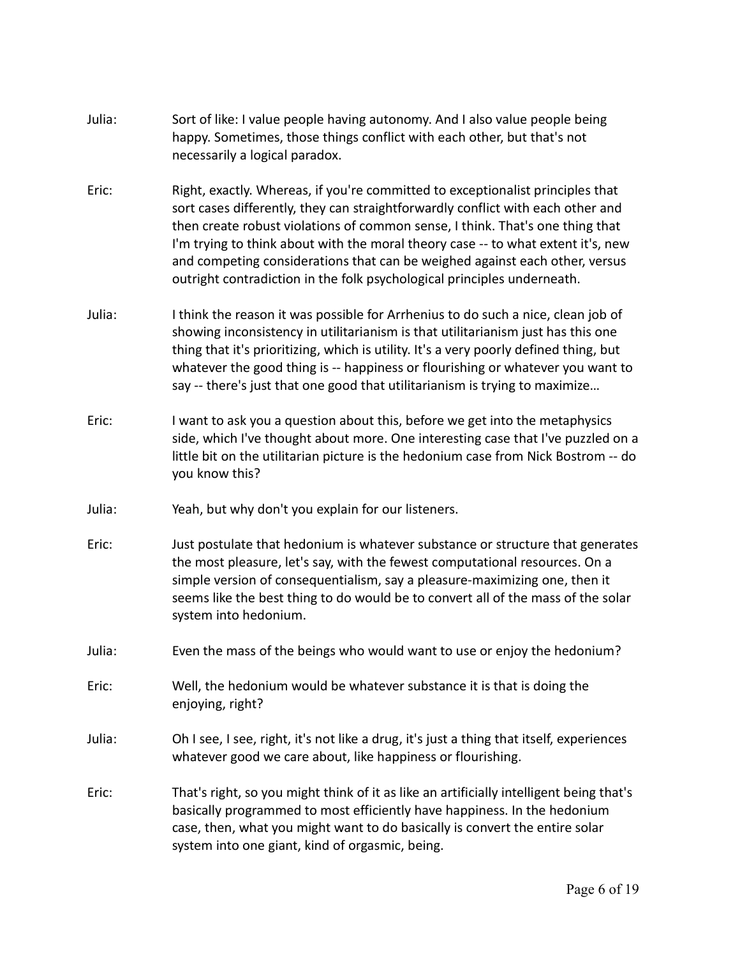- Julia: Sort of like: I value people having autonomy. And I also value people being happy. Sometimes, those things conflict with each other, but that's not necessarily a logical paradox.
- Eric: Right, exactly. Whereas, if you're committed to exceptionalist principles that sort cases differently, they can straightforwardly conflict with each other and then create robust violations of common sense, I think. That's one thing that I'm trying to think about with the moral theory case -- to what extent it's, new and competing considerations that can be weighed against each other, versus outright contradiction in the folk psychological principles underneath.
- Julia: I think the reason it was possible for Arrhenius to do such a nice, clean job of showing inconsistency in utilitarianism is that utilitarianism just has this one thing that it's prioritizing, which is utility. It's a very poorly defined thing, but whatever the good thing is -- happiness or flourishing or whatever you want to say -- there's just that one good that utilitarianism is trying to maximize…
- Eric: I want to ask you a question about this, before we get into the metaphysics side, which I've thought about more. One interesting case that I've puzzled on a little bit on the utilitarian picture is the hedonium case from Nick Bostrom -- do you know this?
- Julia: Yeah, but why don't you explain for our listeners.
- Eric: Just postulate that hedonium is whatever substance or structure that generates the most pleasure, let's say, with the fewest computational resources. On a simple version of consequentialism, say a pleasure-maximizing one, then it seems like the best thing to do would be to convert all of the mass of the solar system into hedonium.
- Julia: Even the mass of the beings who would want to use or enjoy the hedonium?
- Eric: Well, the hedonium would be whatever substance it is that is doing the enjoying, right?
- Julia: Oh I see, I see, right, it's not like a drug, it's just a thing that itself, experiences whatever good we care about, like happiness or flourishing.
- Eric: That's right, so you might think of it as like an artificially intelligent being that's basically programmed to most efficiently have happiness. In the hedonium case, then, what you might want to do basically is convert the entire solar system into one giant, kind of orgasmic, being.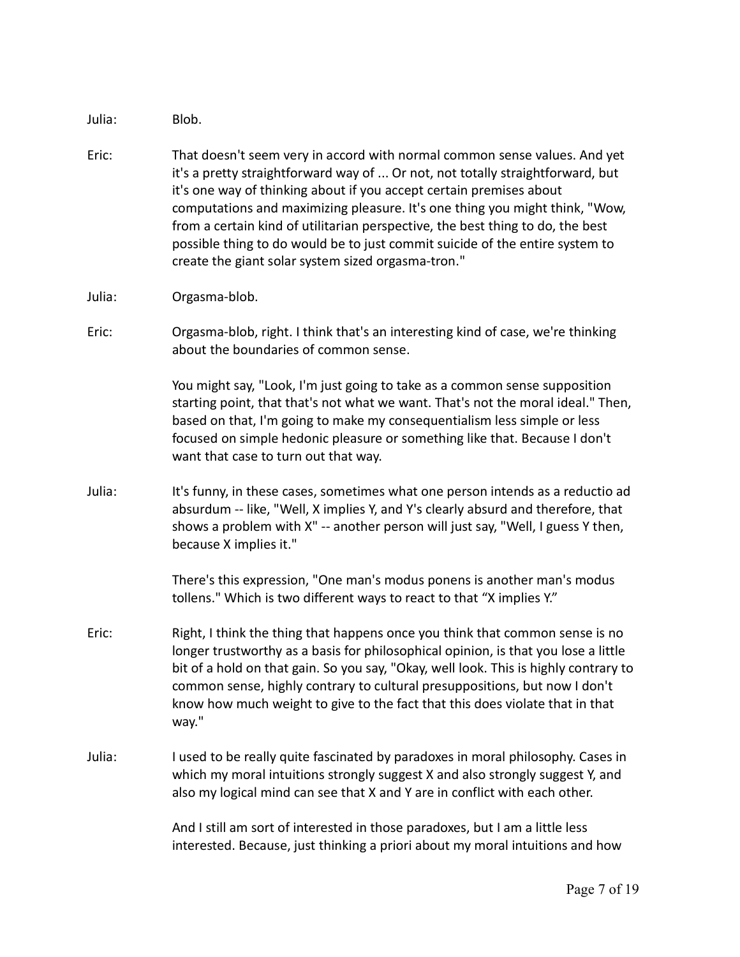Julia: Blob.

- Eric: That doesn't seem very in accord with normal common sense values. And yet it's a pretty straightforward way of ... Or not, not totally straightforward, but it's one way of thinking about if you accept certain premises about computations and maximizing pleasure. It's one thing you might think, "Wow, from a certain kind of utilitarian perspective, the best thing to do, the best possible thing to do would be to just commit suicide of the entire system to create the giant solar system sized orgasma-tron."
- Julia: Orgasma-blob.
- Eric: Orgasma-blob, right. I think that's an interesting kind of case, we're thinking about the boundaries of common sense.

You might say, "Look, I'm just going to take as a common sense supposition starting point, that that's not what we want. That's not the moral ideal." Then, based on that, I'm going to make my consequentialism less simple or less focused on simple hedonic pleasure or something like that. Because I don't want that case to turn out that way.

Julia: It's funny, in these cases, sometimes what one person intends as a reductio ad absurdum -- like, "Well, X implies Y, and Y's clearly absurd and therefore, that shows a problem with X" -- another person will just say, "Well, I guess Y then, because X implies it."

> There's this expression, "One man's modus ponens is another man's modus tollens." Which is two different ways to react to that "X implies Y."

- Eric: Right, I think the thing that happens once you think that common sense is no longer trustworthy as a basis for philosophical opinion, is that you lose a little bit of a hold on that gain. So you say, "Okay, well look. This is highly contrary to common sense, highly contrary to cultural presuppositions, but now I don't know how much weight to give to the fact that this does violate that in that way."
- Julia: I used to be really quite fascinated by paradoxes in moral philosophy. Cases in which my moral intuitions strongly suggest X and also strongly suggest Y, and also my logical mind can see that X and Y are in conflict with each other.

And I still am sort of interested in those paradoxes, but I am a little less interested. Because, just thinking a priori about my moral intuitions and how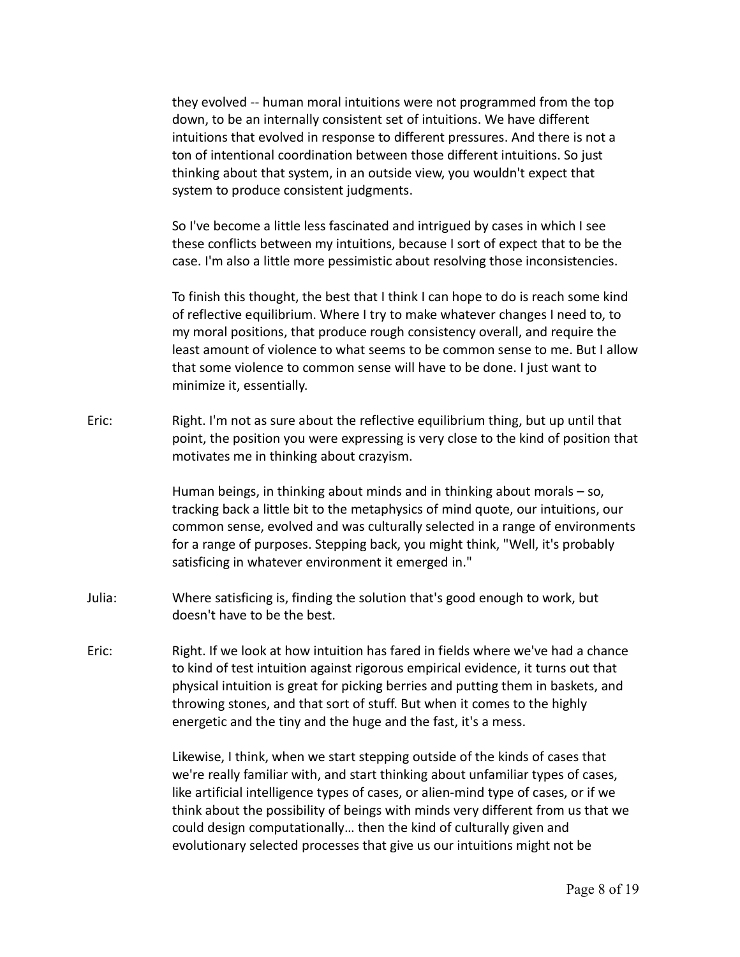they evolved -- human moral intuitions were not programmed from the top down, to be an internally consistent set of intuitions. We have different intuitions that evolved in response to different pressures. And there is not a ton of intentional coordination between those different intuitions. So just thinking about that system, in an outside view, you wouldn't expect that system to produce consistent judgments.

So I've become a little less fascinated and intrigued by cases in which I see these conflicts between my intuitions, because I sort of expect that to be the case. I'm also a little more pessimistic about resolving those inconsistencies.

To finish this thought, the best that I think I can hope to do is reach some kind of reflective equilibrium. Where I try to make whatever changes I need to, to my moral positions, that produce rough consistency overall, and require the least amount of violence to what seems to be common sense to me. But I allow that some violence to common sense will have to be done. I just want to minimize it, essentially.

Eric: Right. I'm not as sure about the reflective equilibrium thing, but up until that point, the position you were expressing is very close to the kind of position that motivates me in thinking about crazyism.

> Human beings, in thinking about minds and in thinking about morals – so, tracking back a little bit to the metaphysics of mind quote, our intuitions, our common sense, evolved and was culturally selected in a range of environments for a range of purposes. Stepping back, you might think, "Well, it's probably satisficing in whatever environment it emerged in."

- Julia: Where satisficing is, finding the solution that's good enough to work, but doesn't have to be the best.
- Eric: Right. If we look at how intuition has fared in fields where we've had a chance to kind of test intuition against rigorous empirical evidence, it turns out that physical intuition is great for picking berries and putting them in baskets, and throwing stones, and that sort of stuff. But when it comes to the highly energetic and the tiny and the huge and the fast, it's a mess.

Likewise, I think, when we start stepping outside of the kinds of cases that we're really familiar with, and start thinking about unfamiliar types of cases, like artificial intelligence types of cases, or alien-mind type of cases, or if we think about the possibility of beings with minds very different from us that we could design computationally… then the kind of culturally given and evolutionary selected processes that give us our intuitions might not be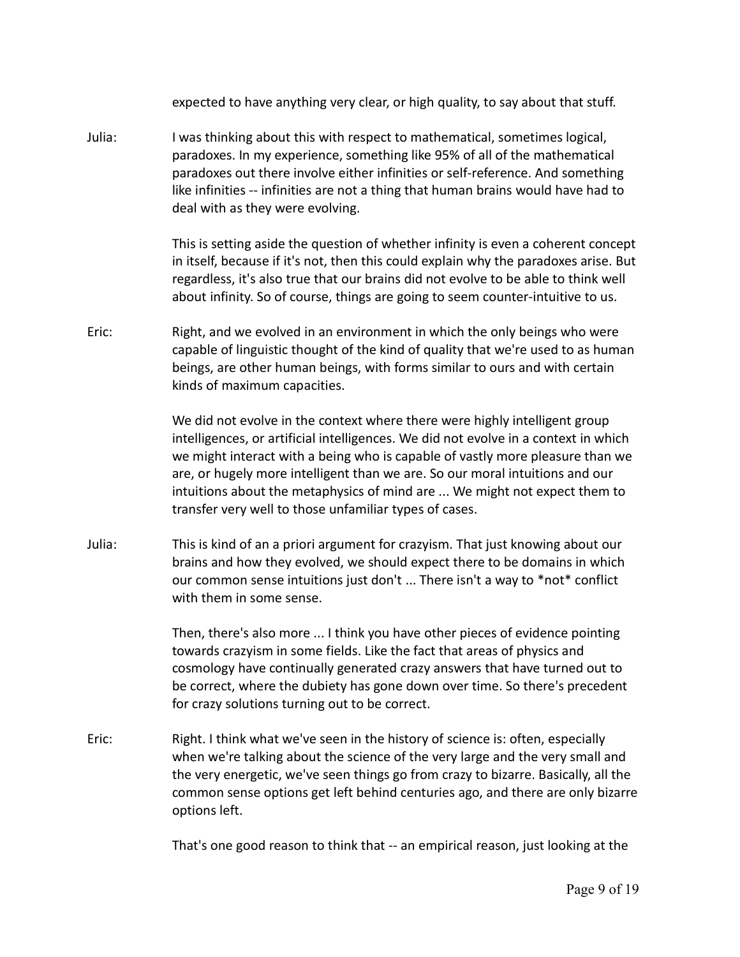expected to have anything very clear, or high quality, to say about that stuff.

Julia: I was thinking about this with respect to mathematical, sometimes logical, paradoxes. In my experience, something like 95% of all of the mathematical paradoxes out there involve either infinities or self-reference. And something like infinities -- infinities are not a thing that human brains would have had to deal with as they were evolving.

> This is setting aside the question of whether infinity is even a coherent concept in itself, because if it's not, then this could explain why the paradoxes arise. But regardless, it's also true that our brains did not evolve to be able to think well about infinity. So of course, things are going to seem counter-intuitive to us.

Eric: Right, and we evolved in an environment in which the only beings who were capable of linguistic thought of the kind of quality that we're used to as human beings, are other human beings, with forms similar to ours and with certain kinds of maximum capacities.

> We did not evolve in the context where there were highly intelligent group intelligences, or artificial intelligences. We did not evolve in a context in which we might interact with a being who is capable of vastly more pleasure than we are, or hugely more intelligent than we are. So our moral intuitions and our intuitions about the metaphysics of mind are ... We might not expect them to transfer very well to those unfamiliar types of cases.

Julia: This is kind of an a priori argument for crazyism. That just knowing about our brains and how they evolved, we should expect there to be domains in which our common sense intuitions just don't ... There isn't a way to \*not\* conflict with them in some sense.

> Then, there's also more ... I think you have other pieces of evidence pointing towards crazyism in some fields. Like the fact that areas of physics and cosmology have continually generated crazy answers that have turned out to be correct, where the dubiety has gone down over time. So there's precedent for crazy solutions turning out to be correct.

Eric: Right. I think what we've seen in the history of science is: often, especially when we're talking about the science of the very large and the very small and the very energetic, we've seen things go from crazy to bizarre. Basically, all the common sense options get left behind centuries ago, and there are only bizarre options left.

That's one good reason to think that -- an empirical reason, just looking at the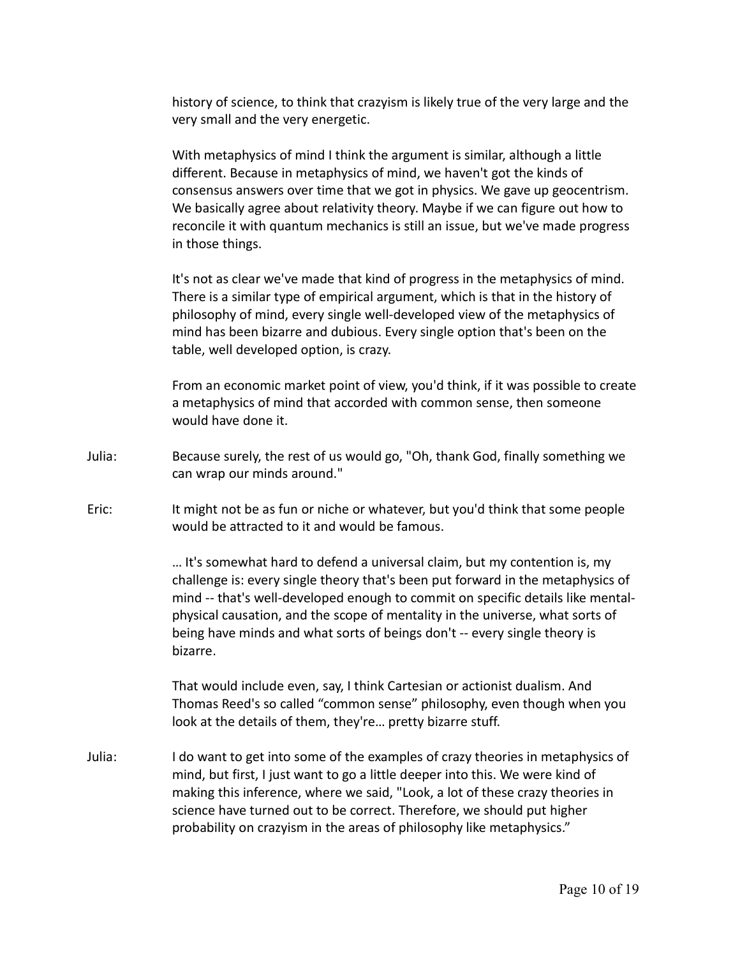history of science, to think that crazyism is likely true of the very large and the very small and the very energetic.

With metaphysics of mind I think the argument is similar, although a little different. Because in metaphysics of mind, we haven't got the kinds of consensus answers over time that we got in physics. We gave up geocentrism. We basically agree about relativity theory. Maybe if we can figure out how to reconcile it with quantum mechanics is still an issue, but we've made progress in those things.

It's not as clear we've made that kind of progress in the metaphysics of mind. There is a similar type of empirical argument, which is that in the history of philosophy of mind, every single well-developed view of the metaphysics of mind has been bizarre and dubious. Every single option that's been on the table, well developed option, is crazy.

From an economic market point of view, you'd think, if it was possible to create a metaphysics of mind that accorded with common sense, then someone would have done it.

- Julia: Because surely, the rest of us would go, "Oh, thank God, finally something we can wrap our minds around."
- Eric: It might not be as fun or niche or whatever, but you'd think that some people would be attracted to it and would be famous.

… It's somewhat hard to defend a universal claim, but my contention is, my challenge is: every single theory that's been put forward in the metaphysics of mind -- that's well-developed enough to commit on specific details like mentalphysical causation, and the scope of mentality in the universe, what sorts of being have minds and what sorts of beings don't -- every single theory is bizarre.

That would include even, say, I think Cartesian or actionist dualism. And Thomas Reed's so called "common sense" philosophy, even though when you look at the details of them, they're… pretty bizarre stuff.

Julia: I do want to get into some of the examples of crazy theories in metaphysics of mind, but first, I just want to go a little deeper into this. We were kind of making this inference, where we said, "Look, a lot of these crazy theories in science have turned out to be correct. Therefore, we should put higher probability on crazyism in the areas of philosophy like metaphysics."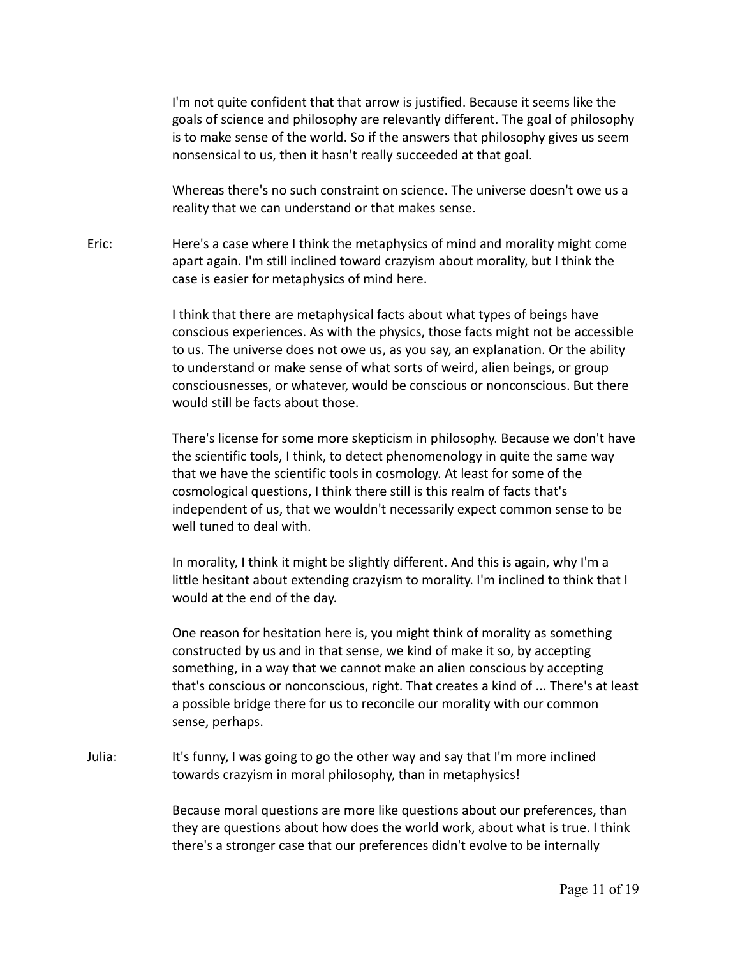I'm not quite confident that that arrow is justified. Because it seems like the goals of science and philosophy are relevantly different. The goal of philosophy is to make sense of the world. So if the answers that philosophy gives us seem nonsensical to us, then it hasn't really succeeded at that goal.

Whereas there's no such constraint on science. The universe doesn't owe us a reality that we can understand or that makes sense.

Eric: Here's a case where I think the metaphysics of mind and morality might come apart again. I'm still inclined toward crazyism about morality, but I think the case is easier for metaphysics of mind here.

> I think that there are metaphysical facts about what types of beings have conscious experiences. As with the physics, those facts might not be accessible to us. The universe does not owe us, as you say, an explanation. Or the ability to understand or make sense of what sorts of weird, alien beings, or group consciousnesses, or whatever, would be conscious or nonconscious. But there would still be facts about those.

> There's license for some more skepticism in philosophy. Because we don't have the scientific tools, I think, to detect phenomenology in quite the same way that we have the scientific tools in cosmology. At least for some of the cosmological questions, I think there still is this realm of facts that's independent of us, that we wouldn't necessarily expect common sense to be well tuned to deal with.

In morality, I think it might be slightly different. And this is again, why I'm a little hesitant about extending crazyism to morality. I'm inclined to think that I would at the end of the day.

One reason for hesitation here is, you might think of morality as something constructed by us and in that sense, we kind of make it so, by accepting something, in a way that we cannot make an alien conscious by accepting that's conscious or nonconscious, right. That creates a kind of ... There's at least a possible bridge there for us to reconcile our morality with our common sense, perhaps.

Julia: It's funny, I was going to go the other way and say that I'm more inclined towards crazyism in moral philosophy, than in metaphysics!

> Because moral questions are more like questions about our preferences, than they are questions about how does the world work, about what is true. I think there's a stronger case that our preferences didn't evolve to be internally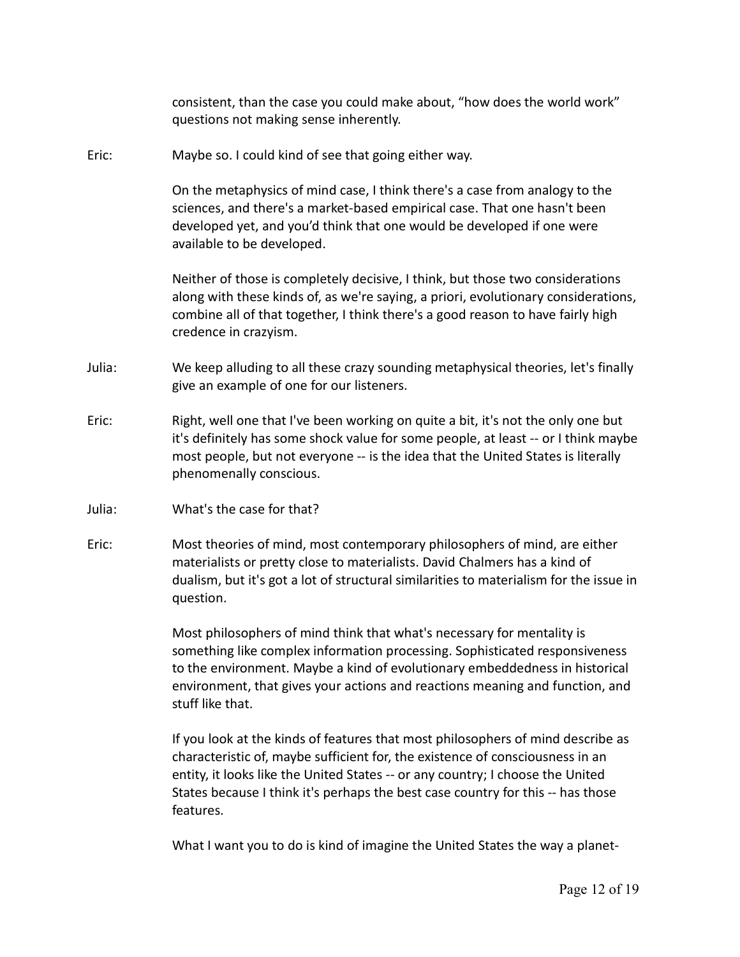consistent, than the case you could make about, "how does the world work" questions not making sense inherently. Eric: Maybe so. I could kind of see that going either way. On the metaphysics of mind case, I think there's a case from analogy to the sciences, and there's a market-based empirical case. That one hasn't been developed yet, and you'd think that one would be developed if one were available to be developed. Neither of those is completely decisive, I think, but those two considerations along with these kinds of, as we're saying, a priori, evolutionary considerations, combine all of that together, I think there's a good reason to have fairly high credence in crazyism. Julia: We keep alluding to all these crazy sounding metaphysical theories, let's finally give an example of one for our listeners. Eric: Right, well one that I've been working on quite a bit, it's not the only one but it's definitely has some shock value for some people, at least -- or I think maybe most people, but not everyone -- is the idea that the United States is literally phenomenally conscious. Julia: What's the case for that? Eric: Most theories of mind, most contemporary philosophers of mind, are either materialists or pretty close to materialists. David Chalmers has a kind of dualism, but it's got a lot of structural similarities to materialism for the issue in question. Most philosophers of mind think that what's necessary for mentality is

something like complex information processing. Sophisticated responsiveness to the environment. Maybe a kind of evolutionary embeddedness in historical environment, that gives your actions and reactions meaning and function, and stuff like that.

If you look at the kinds of features that most philosophers of mind describe as characteristic of, maybe sufficient for, the existence of consciousness in an entity, it looks like the United States -- or any country; I choose the United States because I think it's perhaps the best case country for this -- has those features.

What I want you to do is kind of imagine the United States the way a planet-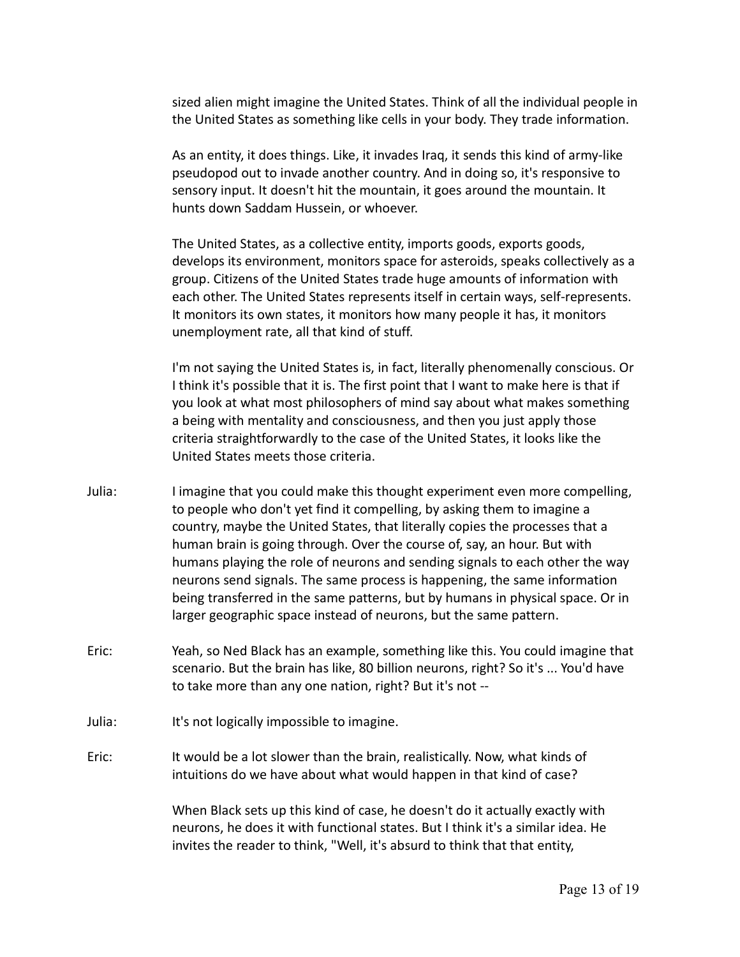sized alien might imagine the United States. Think of all the individual people in the United States as something like cells in your body. They trade information.

As an entity, it does things. Like, it invades Iraq, it sends this kind of army-like pseudopod out to invade another country. And in doing so, it's responsive to sensory input. It doesn't hit the mountain, it goes around the mountain. It hunts down Saddam Hussein, or whoever.

The United States, as a collective entity, imports goods, exports goods, develops its environment, monitors space for asteroids, speaks collectively as a group. Citizens of the United States trade huge amounts of information with each other. The United States represents itself in certain ways, self-represents. It monitors its own states, it monitors how many people it has, it monitors unemployment rate, all that kind of stuff.

I'm not saying the United States is, in fact, literally phenomenally conscious. Or I think it's possible that it is. The first point that I want to make here is that if you look at what most philosophers of mind say about what makes something a being with mentality and consciousness, and then you just apply those criteria straightforwardly to the case of the United States, it looks like the United States meets those criteria.

- Julia: I imagine that you could make this thought experiment even more compelling, to people who don't yet find it compelling, by asking them to imagine a country, maybe the United States, that literally copies the processes that a human brain is going through. Over the course of, say, an hour. But with humans playing the role of neurons and sending signals to each other the way neurons send signals. The same process is happening, the same information being transferred in the same patterns, but by humans in physical space. Or in larger geographic space instead of neurons, but the same pattern.
- Eric: Yeah, so Ned Black has an example, something like this. You could imagine that scenario. But the brain has like, 80 billion neurons, right? So it's ... You'd have to take more than any one nation, right? But it's not --
- Julia: It's not logically impossible to imagine.
- Eric: It would be a lot slower than the brain, realistically. Now, what kinds of intuitions do we have about what would happen in that kind of case?

When Black sets up this kind of case, he doesn't do it actually exactly with neurons, he does it with functional states. But I think it's a similar idea. He invites the reader to think, "Well, it's absurd to think that that entity,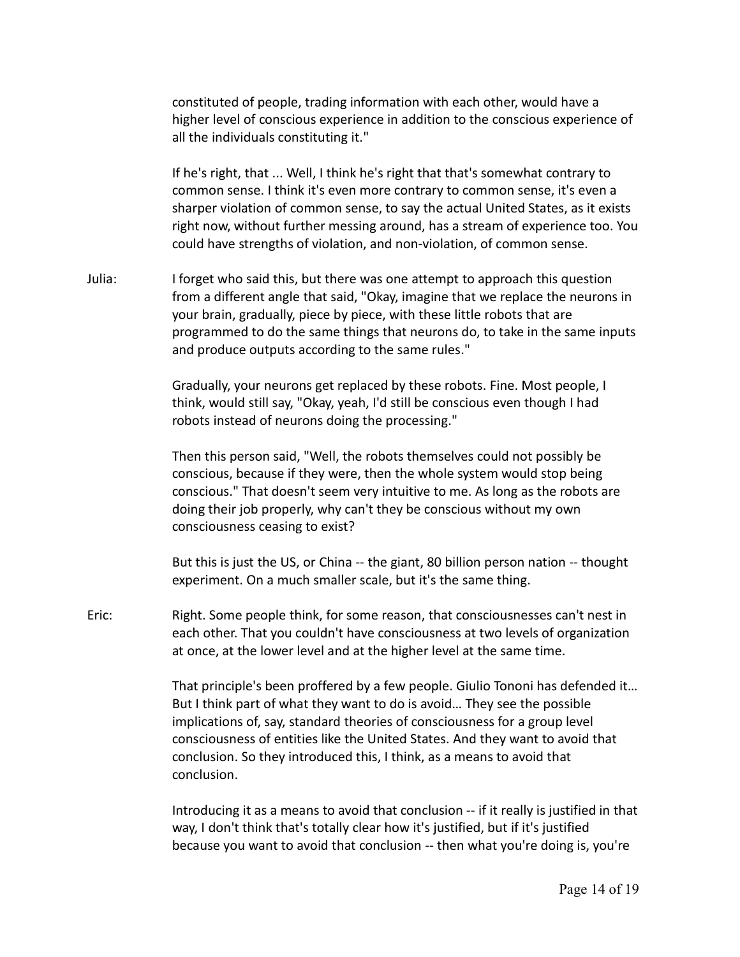constituted of people, trading information with each other, would have a higher level of conscious experience in addition to the conscious experience of all the individuals constituting it."

If he's right, that ... Well, I think he's right that that's somewhat contrary to common sense. I think it's even more contrary to common sense, it's even a sharper violation of common sense, to say the actual United States, as it exists right now, without further messing around, has a stream of experience too. You could have strengths of violation, and non-violation, of common sense.

Julia: I forget who said this, but there was one attempt to approach this question from a different angle that said, "Okay, imagine that we replace the neurons in your brain, gradually, piece by piece, with these little robots that are programmed to do the same things that neurons do, to take in the same inputs and produce outputs according to the same rules."

> Gradually, your neurons get replaced by these robots. Fine. Most people, I think, would still say, "Okay, yeah, I'd still be conscious even though I had robots instead of neurons doing the processing."

Then this person said, "Well, the robots themselves could not possibly be conscious, because if they were, then the whole system would stop being conscious." That doesn't seem very intuitive to me. As long as the robots are doing their job properly, why can't they be conscious without my own consciousness ceasing to exist?

But this is just the US, or China -- the giant, 80 billion person nation -- thought experiment. On a much smaller scale, but it's the same thing.

Eric: Right. Some people think, for some reason, that consciousnesses can't nest in each other. That you couldn't have consciousness at two levels of organization at once, at the lower level and at the higher level at the same time.

> That principle's been proffered by a few people. Giulio Tononi has defended it… But I think part of what they want to do is avoid… They see the possible implications of, say, standard theories of consciousness for a group level consciousness of entities like the United States. And they want to avoid that conclusion. So they introduced this, I think, as a means to avoid that conclusion.

> Introducing it as a means to avoid that conclusion -- if it really is justified in that way, I don't think that's totally clear how it's justified, but if it's justified because you want to avoid that conclusion -- then what you're doing is, you're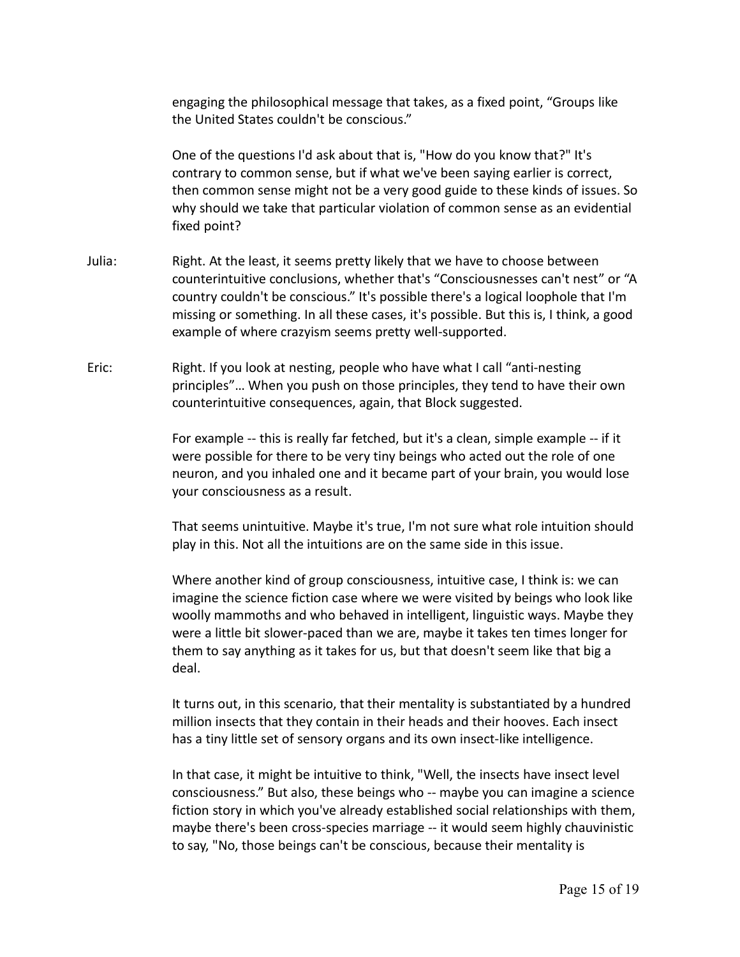engaging the philosophical message that takes, as a fixed point, "Groups like the United States couldn't be conscious."

One of the questions I'd ask about that is, "How do you know that?" It's contrary to common sense, but if what we've been saying earlier is correct, then common sense might not be a very good guide to these kinds of issues. So why should we take that particular violation of common sense as an evidential fixed point?

- Julia: Right. At the least, it seems pretty likely that we have to choose between counterintuitive conclusions, whether that's "Consciousnesses can't nest" or "A country couldn't be conscious." It's possible there's a logical loophole that I'm missing or something. In all these cases, it's possible. But this is, I think, a good example of where crazyism seems pretty well-supported.
- Eric: Right. If you look at nesting, people who have what I call "anti-nesting principles"… When you push on those principles, they tend to have their own counterintuitive consequences, again, that Block suggested.

For example -- this is really far fetched, but it's a clean, simple example -- if it were possible for there to be very tiny beings who acted out the role of one neuron, and you inhaled one and it became part of your brain, you would lose your consciousness as a result.

That seems unintuitive. Maybe it's true, I'm not sure what role intuition should play in this. Not all the intuitions are on the same side in this issue.

Where another kind of group consciousness, intuitive case, I think is: we can imagine the science fiction case where we were visited by beings who look like woolly mammoths and who behaved in intelligent, linguistic ways. Maybe they were a little bit slower-paced than we are, maybe it takes ten times longer for them to say anything as it takes for us, but that doesn't seem like that big a deal.

It turns out, in this scenario, that their mentality is substantiated by a hundred million insects that they contain in their heads and their hooves. Each insect has a tiny little set of sensory organs and its own insect-like intelligence.

In that case, it might be intuitive to think, "Well, the insects have insect level consciousness." But also, these beings who -- maybe you can imagine a science fiction story in which you've already established social relationships with them, maybe there's been cross-species marriage -- it would seem highly chauvinistic to say, "No, those beings can't be conscious, because their mentality is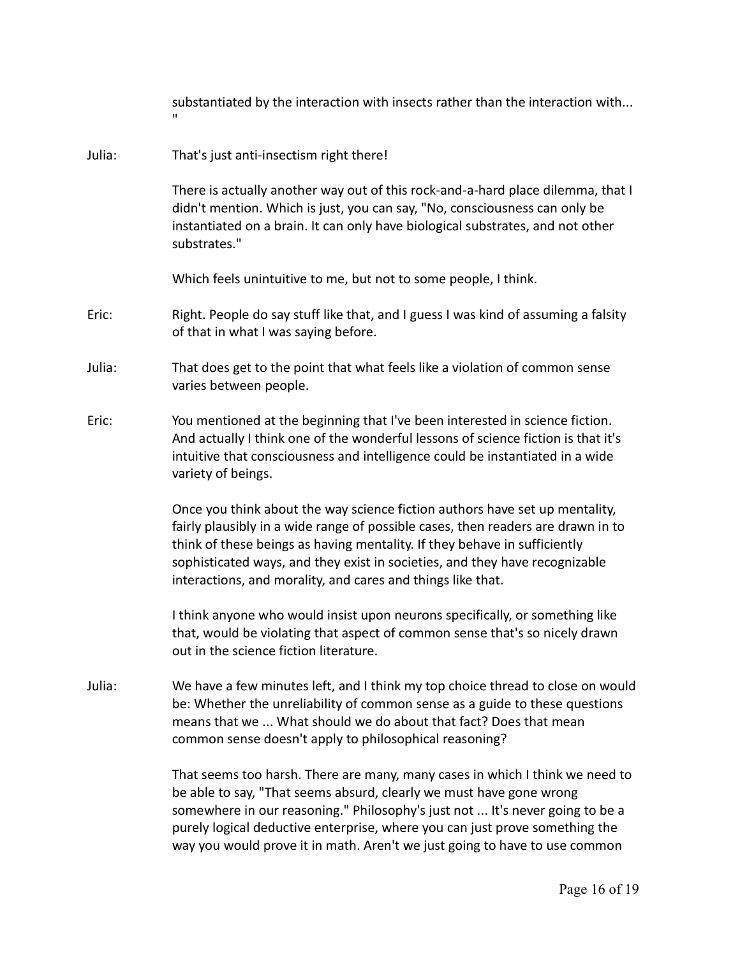substantiated by the interaction with insects rather than the interaction with...

## Julia: That's just anti-insectism right there!

"

There is actually another way out of this rock-and-a-hard place dilemma, that I didn't mention. Which is just, you can say, "No, consciousness can only be instantiated on a brain. It can only have biological substrates, and not other substrates."

Which feels unintuitive to me, but not to some people, I think.

- Eric: Right. People do say stuff like that, and I guess I was kind of assuming a falsity of that in what I was saying before.
- Julia: That does get to the point that what feels like a violation of common sense varies between people.
- Eric: You mentioned at the beginning that I've been interested in science fiction. And actually I think one of the wonderful lessons of science fiction is that it's intuitive that consciousness and intelligence could be instantiated in a wide variety of beings.

Once you think about the way science fiction authors have set up mentality, fairly plausibly in a wide range of possible cases, then readers are drawn in to think of these beings as having mentality. If they behave in sufficiently sophisticated ways, and they exist in societies, and they have recognizable interactions, and morality, and cares and things like that.

I think anyone who would insist upon neurons specifically, or something like that, would be violating that aspect of common sense that's so nicely drawn out in the science fiction literature.

Julia: We have a few minutes left, and I think my top choice thread to close on would be: Whether the unreliability of common sense as a guide to these questions means that we ... What should we do about that fact? Does that mean common sense doesn't apply to philosophical reasoning?

> That seems too harsh. There are many, many cases in which I think we need to be able to say, "That seems absurd, clearly we must have gone wrong somewhere in our reasoning." Philosophy's just not ... It's never going to be a purely logical deductive enterprise, where you can just prove something the way you would prove it in math. Aren't we just going to have to use common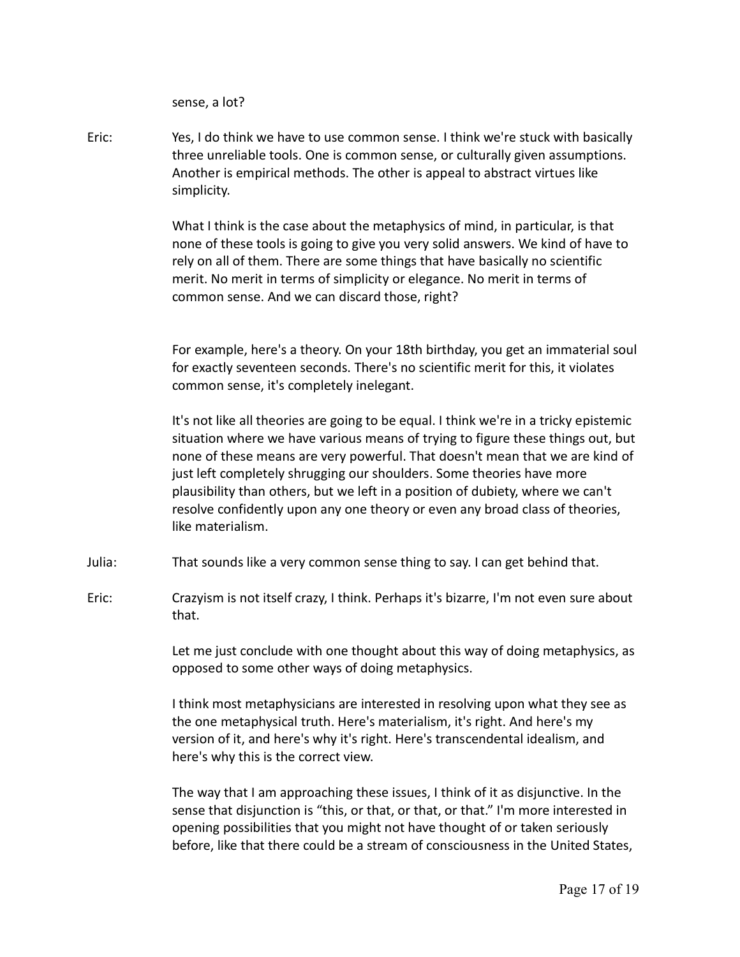sense, a lot?

Eric: Yes, I do think we have to use common sense. I think we're stuck with basically three unreliable tools. One is common sense, or culturally given assumptions. Another is empirical methods. The other is appeal to abstract virtues like simplicity.

> What I think is the case about the metaphysics of mind, in particular, is that none of these tools is going to give you very solid answers. We kind of have to rely on all of them. There are some things that have basically no scientific merit. No merit in terms of simplicity or elegance. No merit in terms of common sense. And we can discard those, right?

For example, here's a theory. On your 18th birthday, you get an immaterial soul for exactly seventeen seconds. There's no scientific merit for this, it violates common sense, it's completely inelegant.

It's not like all theories are going to be equal. I think we're in a tricky epistemic situation where we have various means of trying to figure these things out, but none of these means are very powerful. That doesn't mean that we are kind of just left completely shrugging our shoulders. Some theories have more plausibility than others, but we left in a position of dubiety, where we can't resolve confidently upon any one theory or even any broad class of theories, like materialism.

- Julia: That sounds like a very common sense thing to say. I can get behind that.
- Eric: Crazyism is not itself crazy, I think. Perhaps it's bizarre, I'm not even sure about that.

Let me just conclude with one thought about this way of doing metaphysics, as opposed to some other ways of doing metaphysics.

I think most metaphysicians are interested in resolving upon what they see as the one metaphysical truth. Here's materialism, it's right. And here's my version of it, and here's why it's right. Here's transcendental idealism, and here's why this is the correct view.

The way that I am approaching these issues, I think of it as disjunctive. In the sense that disjunction is "this, or that, or that, or that." I'm more interested in opening possibilities that you might not have thought of or taken seriously before, like that there could be a stream of consciousness in the United States,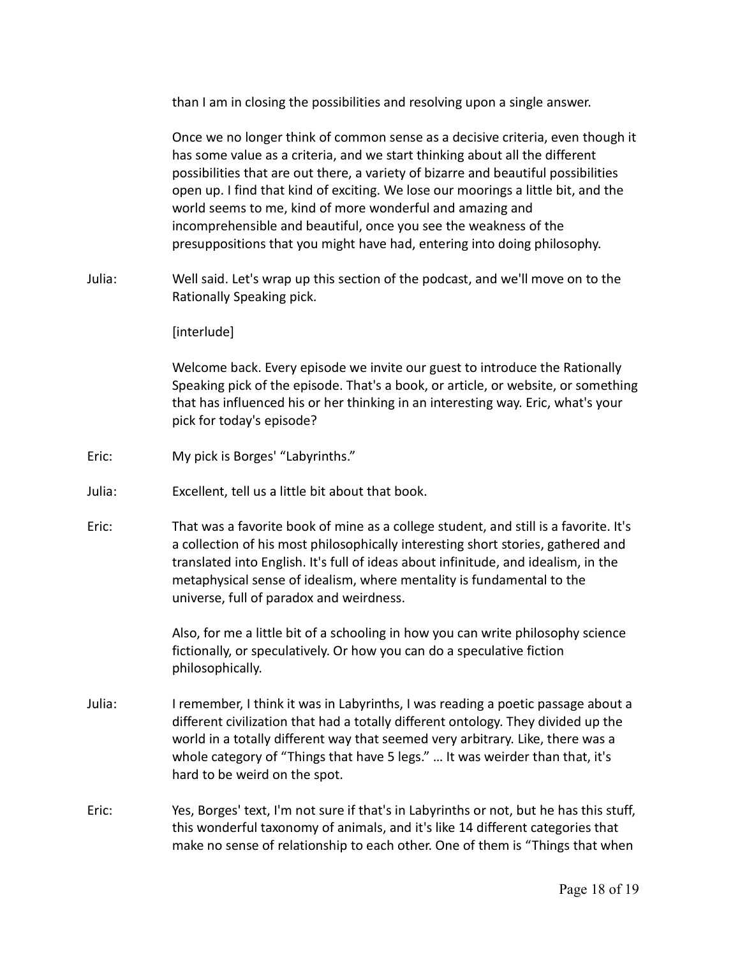than I am in closing the possibilities and resolving upon a single answer.

Once we no longer think of common sense as a decisive criteria, even though it has some value as a criteria, and we start thinking about all the different possibilities that are out there, a variety of bizarre and beautiful possibilities open up. I find that kind of exciting. We lose our moorings a little bit, and the world seems to me, kind of more wonderful and amazing and incomprehensible and beautiful, once you see the weakness of the presuppositions that you might have had, entering into doing philosophy.

Julia: Well said. Let's wrap up this section of the podcast, and we'll move on to the Rationally Speaking pick.

## [interlude]

Welcome back. Every episode we invite our guest to introduce the Rationally Speaking pick of the episode. That's a book, or article, or website, or something that has influenced his or her thinking in an interesting way. Eric, what's your pick for today's episode?

- Eric: My pick is Borges' "Labyrinths."
- Julia: Excellent, tell us a little bit about that book.
- Eric: That was a favorite book of mine as a college student, and still is a favorite. It's a collection of his most philosophically interesting short stories, gathered and translated into English. It's full of ideas about infinitude, and idealism, in the metaphysical sense of idealism, where mentality is fundamental to the universe, full of paradox and weirdness.

Also, for me a little bit of a schooling in how you can write philosophy science fictionally, or speculatively. Or how you can do a speculative fiction philosophically.

- Julia: I remember, I think it was in Labyrinths, I was reading a poetic passage about a different civilization that had a totally different ontology. They divided up the world in a totally different way that seemed very arbitrary. Like, there was a whole category of "Things that have 5 legs." ... It was weirder than that, it's hard to be weird on the spot.
- Eric: Yes, Borges' text, I'm not sure if that's in Labyrinths or not, but he has this stuff, this wonderful taxonomy of animals, and it's like 14 different categories that make no sense of relationship to each other. One of them is "Things that when